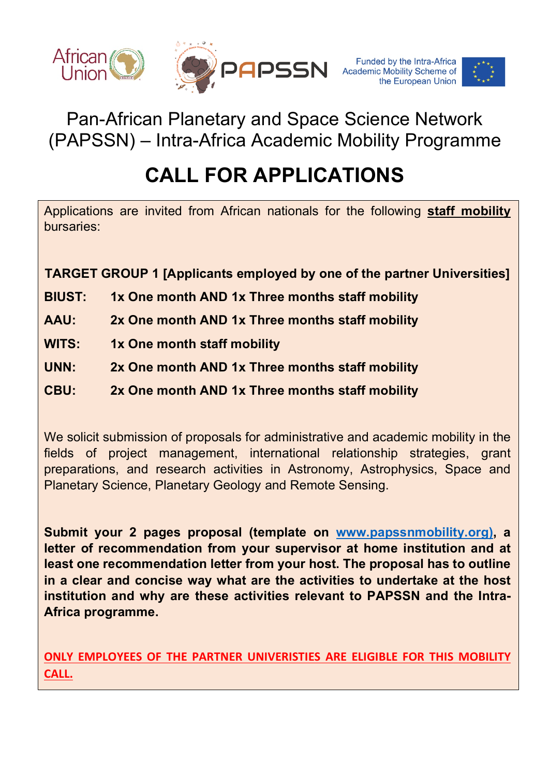



Pan-African Planetary and Space Science Network (PAPSSN) – Intra-Africa Academic Mobility Programme

# **CALL FOR APPLICATIONS**

Applications are invited from African nationals for the following **staff mobility** bursaries:

**TARGET GROUP 1 [Applicants employed by one of the partner Universities]**

- **BIUST: 1x One month AND 1x Three months staff mobility**
- **AAU: 2x One month AND 1x Three months staff mobility**
- **WITS: 1x One month staff mobility**
- **UNN: 2x One month AND 1x Three months staff mobility**
- **CBU: 2x One month AND 1x Three months staff mobility**

We solicit submission of proposals for administrative and academic mobility in the fields of project management, international relationship strategies, grant preparations, and research activities in Astronomy, Astrophysics, Space and Planetary Science, Planetary Geology and Remote Sensing.

**Submit your 2 pages proposal (template on www.papssnmobility.org), a letter of recommendation from your supervisor at home institution and at least one recommendation letter from your host. The proposal has to outline in a clear and concise way what are the activities to undertake at the host institution and why are these activities relevant to PAPSSN and the Intra-Africa programme.**

**ONLY EMPLOYEES OF THE PARTNER UNIVERISTIES ARE ELIGIBLE FOR THIS MOBILITY CALL.**